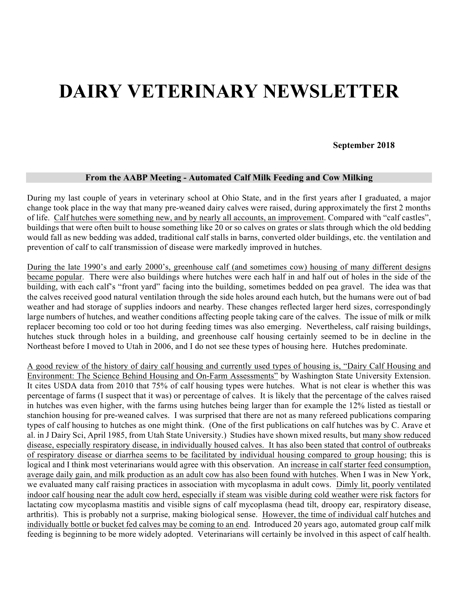# **DAIRY VETERINARY NEWSLETTER**

**September 2018**

## **From the AABP Meeting - Automated Calf Milk Feeding and Cow Milking**

During my last couple of years in veterinary school at Ohio State, and in the first years after I graduated, a major change took place in the way that many pre-weaned dairy calves were raised, during approximately the first 2 months of life. Calf hutches were something new, and by nearly all accounts, an improvement. Compared with "calf castles", buildings that were often built to house something like 20 or so calves on grates or slats through which the old bedding would fall as new bedding was added, traditional calf stalls in barns, converted older buildings, etc. the ventilation and prevention of calf to calf transmission of disease were markedly improved in hutches.

During the late 1990's and early 2000's, greenhouse calf (and sometimes cow) housing of many different designs became popular. There were also buildings where hutches were each half in and half out of holes in the side of the building, with each calf's "front yard" facing into the building, sometimes bedded on pea gravel. The idea was that the calves received good natural ventilation through the side holes around each hutch, but the humans were out of bad weather and had storage of supplies indoors and nearby. These changes reflected larger herd sizes, correspondingly large numbers of hutches, and weather conditions affecting people taking care of the calves. The issue of milk or milk replacer becoming too cold or too hot during feeding times was also emerging. Nevertheless, calf raising buildings, hutches stuck through holes in a building, and greenhouse calf housing certainly seemed to be in decline in the Northeast before I moved to Utah in 2006, and I do not see these types of housing here. Hutches predominate.

A good review of the history of dairy calf housing and currently used types of housing is, "Dairy Calf Housing and Environment: The Science Behind Housing and On-Farm Assessments" by Washington State University Extension. It cites USDA data from 2010 that 75% of calf housing types were hutches. What is not clear is whether this was percentage of farms (I suspect that it was) or percentage of calves. It is likely that the percentage of the calves raised in hutches was even higher, with the farms using hutches being larger than for example the 12% listed as tiestall or stanchion housing for pre-weaned calves. I was surprised that there are not as many refereed publications comparing types of calf housing to hutches as one might think. (One of the first publications on calf hutches was by C. Arave et al. in J Dairy Sci, April 1985, from Utah State University.) Studies have shown mixed results, but many show reduced disease, especially respiratory disease, in individually housed calves. It has also been stated that control of outbreaks of respiratory disease or diarrhea seems to be facilitated by individual housing compared to group housing; this is logical and I think most veterinarians would agree with this observation. An increase in calf starter feed consumption, average daily gain, and milk production as an adult cow has also been found with hutches. When I was in New York, we evaluated many calf raising practices in association with mycoplasma in adult cows. Dimly lit, poorly ventilated indoor calf housing near the adult cow herd, especially if steam was visible during cold weather were risk factors for lactating cow mycoplasma mastitis and visible signs of calf mycoplasma (head tilt, droopy ear, respiratory disease, arthritis). This is probably not a surprise, making biological sense. However, the time of individual calf hutches and individually bottle or bucket fed calves may be coming to an end. Introduced 20 years ago, automated group calf milk feeding is beginning to be more widely adopted. Veterinarians will certainly be involved in this aspect of calf health.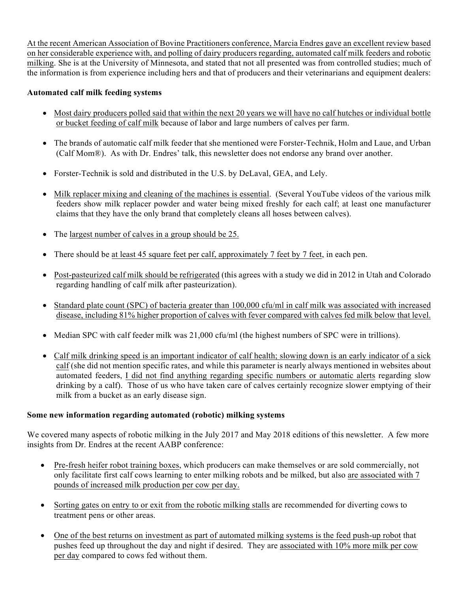At the recent American Association of Bovine Practitioners conference, Marcia Endres gave an excellent review based on her considerable experience with, and polling of dairy producers regarding, automated calf milk feeders and robotic milking. She is at the University of Minnesota, and stated that not all presented was from controlled studies; much of the information is from experience including hers and that of producers and their veterinarians and equipment dealers:

# **Automated calf milk feeding systems**

- Most dairy producers polled said that within the next 20 years we will have no calf hutches or individual bottle or bucket feeding of calf milk because of labor and large numbers of calves per farm.
- The brands of automatic calf milk feeder that she mentioned were Forster-Technik, Holm and Laue, and Urban (Calf Mom®). As with Dr. Endres' talk, this newsletter does not endorse any brand over another.
- Forster-Technik is sold and distributed in the U.S. by DeLaval, GEA, and Lely.
- Milk replacer mixing and cleaning of the machines is essential. (Several YouTube videos of the various milk feeders show milk replacer powder and water being mixed freshly for each calf; at least one manufacturer claims that they have the only brand that completely cleans all hoses between calves).
- The largest number of calves in a group should be 25.
- There should be at least 45 square feet per calf, approximately 7 feet by 7 feet, in each pen.
- Post-pasteurized calf milk should be refrigerated (this agrees with a study we did in 2012 in Utah and Colorado regarding handling of calf milk after pasteurization).
- Standard plate count (SPC) of bacteria greater than 100,000 cfu/ml in calf milk was associated with increased disease, including 81% higher proportion of calves with fever compared with calves fed milk below that level.
- Median SPC with calf feeder milk was 21,000 cfu/ml (the highest numbers of SPC were in trillions).
- Calf milk drinking speed is an important indicator of calf health; slowing down is an early indicator of a sick calf (she did not mention specific rates, and while this parameter is nearly always mentioned in websites about automated feeders, I did not find anything regarding specific numbers or automatic alerts regarding slow drinking by a calf). Those of us who have taken care of calves certainly recognize slower emptying of their milk from a bucket as an early disease sign.

# **Some new information regarding automated (robotic) milking systems**

We covered many aspects of robotic milking in the July 2017 and May 2018 editions of this newsletter. A few more insights from Dr. Endres at the recent AABP conference:

- Pre-fresh heifer robot training boxes, which producers can make themselves or are sold commercially, not only facilitate first calf cows learning to enter milking robots and be milked, but also are associated with 7 pounds of increased milk production per cow per day.
- Sorting gates on entry to or exit from the robotic milking stalls are recommended for diverting cows to treatment pens or other areas.
- One of the best returns on investment as part of automated milking systems is the feed push-up robot that pushes feed up throughout the day and night if desired. They are associated with 10% more milk per cow per day compared to cows fed without them.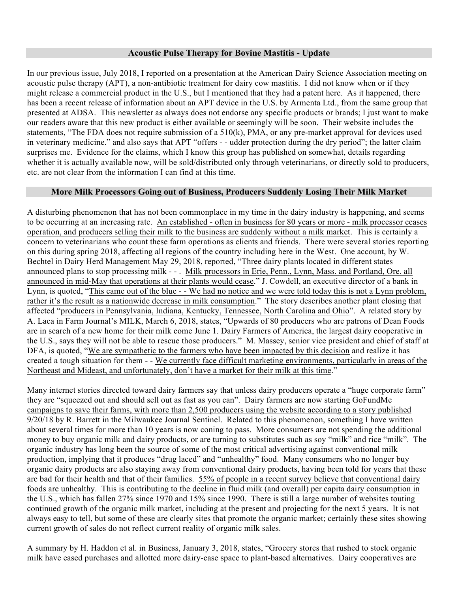## **Acoustic Pulse Therapy for Bovine Mastitis - Update**

In our previous issue, July 2018, I reported on a presentation at the American Dairy Science Association meeting on acoustic pulse therapy (APT), a non-antibiotic treatment for dairy cow mastitis. I did not know when or if they might release a commercial product in the U.S., but I mentioned that they had a patent here. As it happened, there has been a recent release of information about an APT device in the U.S. by Armenta Ltd., from the same group that presented at ADSA. This newsletter as always does not endorse any specific products or brands; I just want to make our readers aware that this new product is either available or seemingly will be soon. Their website includes the statements, "The FDA does not require submission of a 510(k), PMA, or any pre-market approval for devices used in veterinary medicine." and also says that APT "offers - - udder protection during the dry period"; the latter claim surprises me. Evidence for the claims, which I know this group has published on somewhat, details regarding whether it is actually available now, will be sold/distributed only through veterinarians, or directly sold to producers, etc. are not clear from the information I can find at this time.

## **More Milk Processors Going out of Business, Producers Suddenly Losing Their Milk Market**

A disturbing phenomenon that has not been commonplace in my time in the dairy industry is happening, and seems to be occurring at an increasing rate. An established - often in business for 80 years or more - milk processor ceases operation, and producers selling their milk to the business are suddenly without a milk market. This is certainly a concern to veterinarians who count these farm operations as clients and friends. There were several stories reporting on this during spring 2018, affecting all regions of the country including here in the West. One account, by W. Bechtel in Dairy Herd Management May 29, 2018, reported, "Three dairy plants located in different states announced plans to stop processing milk - - . Milk processors in Erie, Penn., Lynn, Mass. and Portland, Ore. all announced in mid-May that operations at their plants would cease." J. Cowdell, an executive director of a bank in Lynn, is quoted, "This came out of the blue - - We had no notice and we were told today this is not a Lynn problem, rather it's the result as a nationwide decrease in milk consumption." The story describes another plant closing that affected "producers in Pennsylvania, Indiana, Kentucky, Tennessee, North Carolina and Ohio". A related story by A. Laca in Farm Journal's MILK, March 6, 2018, states, "Upwards of 80 producers who are patrons of Dean Foods are in search of a new home for their milk come June 1. Dairy Farmers of America, the largest dairy cooperative in the U.S., says they will not be able to rescue those producers." M. Massey, senior vice president and chief of staff at DFA, is quoted, "We are sympathetic to the farmers who have been impacted by this decision and realize it has created a tough situation for them - - We currently face difficult marketing environments, particularly in areas of the Northeast and Mideast, and unfortunately, don't have a market for their milk at this time."

Many internet stories directed toward dairy farmers say that unless dairy producers operate a "huge corporate farm" they are "squeezed out and should sell out as fast as you can". Dairy farmers are now starting GoFundMe campaigns to save their farms, with more than 2,500 producers using the website according to a story published 9/20/18 by R. Barrett in the Milwaukee Journal Sentinel. Related to this phenomenon, something I have written about several times for more than 10 years is now coning to pass. More consumers are not spending the additional money to buy organic milk and dairy products, or are turning to substitutes such as soy "milk" and rice "milk". The organic industry has long been the source of some of the most critical advertising against conventional milk production, implying that it produces "drug laced" and "unhealthy" food. Many consumers who no longer buy organic dairy products are also staying away from conventional dairy products, having been told for years that these are bad for their health and that of their families. 55% of people in a recent survey believe that conventional dairy foods are unhealthy. This is contributing to the decline in fluid milk (and overall) per capita dairy consumption in the U.S., which has fallen 27% since 1970 and 15% since 1990. There is still a large number of websites touting continued growth of the organic milk market, including at the present and projecting for the next 5 years. It is not always easy to tell, but some of these are clearly sites that promote the organic market; certainly these sites showing current growth of sales do not reflect current reality of organic milk sales.

A summary by H. Haddon et al. in Business, January 3, 2018, states, "Grocery stores that rushed to stock organic milk have eased purchases and allotted more dairy-case space to plant-based alternatives. Dairy cooperatives are